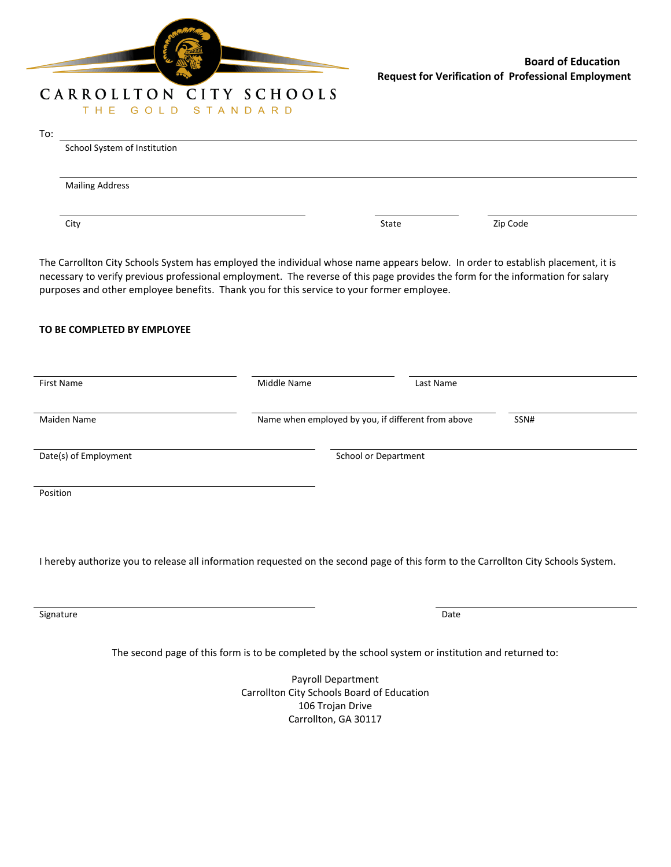

## THE GOLD STANDARD To: School System of Institution Mailing Address City and the City State City State State State State State State State State State State State State State State State State State State State State State State State State State State State State State State State State S The Carrollton City Schools System has employed the individual whose name appears below. In order to establish placement, it is necessary to verify previous professional employment. The reverse of this page provides the form for the information for salary purposes and other employee benefits. Thank you for this service to your former employee. **TO BE COMPLETED BY EMPLOYEE** First Name **According to the Contract According Middle Name Last Name Last Name** Maiden Name Name Name when employed by you, if different from above SSN# Date(s) of Employment The School or Department School or Department Position I hereby authorize you to release all information requested on the second page of this form to the Carrollton City Schools System.

signature and the contract of the contract of the contract of the contract of the contract of the contract of the contract of the contract of the contract of the contract of the contract of the contract of the contract of

The second page of this form is to be completed by the school system or institution and returned to:

Payroll Department Carrollton City Schools Board of Education 106 Trojan Drive Carrollton, GA 30117